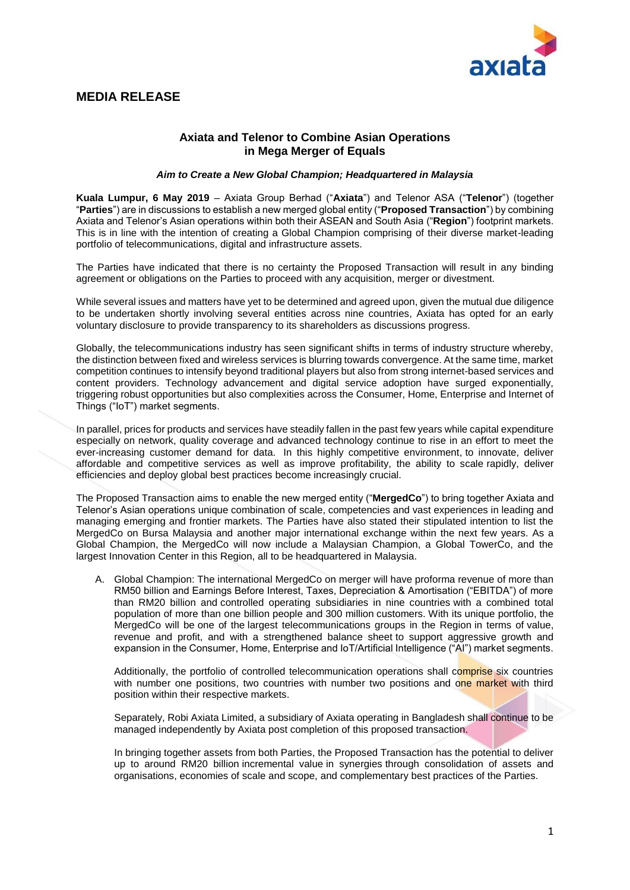

# **MEDIA RELEASE**

## **Axiata and Telenor to Combine Asian Operations in Mega Merger of Equals**

#### *Aim to Create a New Global Champion; Headquartered in Malaysia*

**Kuala Lumpur, 6 May 2019** – Axiata Group Berhad ("**Axiata**") and Telenor ASA ("**Telenor**") (together "**Parties**") are in discussions to establish a new merged global entity ("**Proposed Transaction**") by combining Axiata and Telenor's Asian operations within both their ASEAN and South Asia ("**Region**") footprint markets. This is in line with the intention of creating a Global Champion comprising of their diverse market-leading portfolio of telecommunications, digital and infrastructure assets.

The Parties have indicated that there is no certainty the Proposed Transaction will result in any binding agreement or obligations on the Parties to proceed with any acquisition, merger or divestment.

While several issues and matters have yet to be determined and agreed upon, given the mutual due diligence to be undertaken shortly involving several entities across nine countries, Axiata has opted for an early voluntary disclosure to provide transparency to its shareholders as discussions progress.

Globally, the telecommunications industry has seen significant shifts in terms of industry structure whereby, the distinction between fixed and wireless services is blurring towards convergence. At the same time, market competition continues to intensify beyond traditional players but also from strong internet-based services and content providers. Technology advancement and digital service adoption have surged exponentially, triggering robust opportunities but also complexities across the Consumer, Home, Enterprise and Internet of Things ("IoT") market segments.

In parallel, prices for products and services have steadily fallen in the past few years while capital expenditure especially on network, quality coverage and advanced technology continue to rise in an effort to meet the ever-increasing customer demand for data. In this highly competitive environment, to innovate, deliver affordable and competitive services as well as improve profitability, the ability to scale rapidly, deliver efficiencies and deploy global best practices become increasingly crucial.

The Proposed Transaction aims to enable the new merged entity ("**MergedCo**") to bring together Axiata and Telenor's Asian operations unique combination of scale, competencies and vast experiences in leading and managing emerging and frontier markets. The Parties have also stated their stipulated intention to list the MergedCo on Bursa Malaysia and another major international exchange within the next few years. As a Global Champion, the MergedCo will now include a Malaysian Champion, a Global TowerCo, and the largest Innovation Center in this Region, all to be headquartered in Malaysia.

A. Global Champion: The international MergedCo on merger will have proforma revenue of more than RM50 billion and Earnings Before Interest, Taxes, Depreciation & Amortisation ("EBITDA") of more than RM20 billion and controlled operating subsidiaries in nine countries with a combined total population of more than one billion people and 300 million customers. With its unique portfolio, the MergedCo will be one of the largest telecommunications groups in the Region in terms of value, revenue and profit, and with a strengthened balance sheet to support aggressive growth and expansion in the Consumer, Home, Enterprise and IoT/Artificial Intelligence ("AI") market segments.

Additionally, the portfolio of controlled telecommunication operations shall comprise six countries with number one positions, two countries with number two positions and one market with third position within their respective markets.

Separately, Robi Axiata Limited, a subsidiary of Axiata operating in Bangladesh shall continue to be managed independently by Axiata post completion of this proposed transaction.

In bringing together assets from both Parties, the Proposed Transaction has the potential to deliver up to around RM20 billion incremental value in synergies through consolidation of assets and organisations, economies of scale and scope, and complementary best practices of the Parties.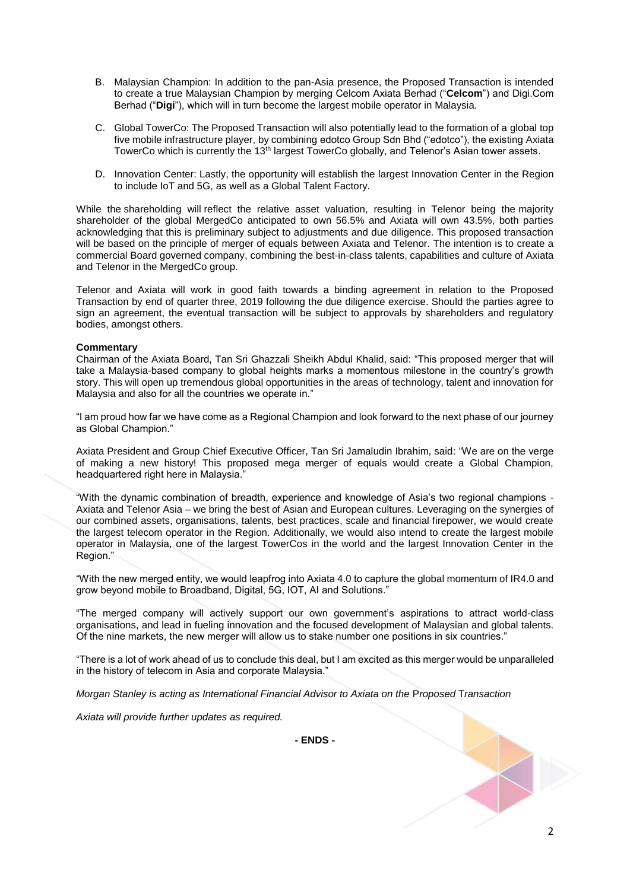- B. Malaysian Champion: In addition to the pan-Asia presence, the Proposed Transaction is intended to create a true Malaysian Champion by merging Celcom Axiata Berhad ("**Celcom**") and Digi.Com Berhad ("**Digi**"), which will in turn become the largest mobile operator in Malaysia.
- C. Global TowerCo: The Proposed Transaction will also potentially lead to the formation of a global top five mobile infrastructure player, by combining edotco Group Sdn Bhd ("edotco"), the existing Axiata TowerCo which is currently the 13<sup>th</sup> largest TowerCo globally, and Telenor's Asian tower assets.
- D. Innovation Center: Lastly, the opportunity will establish the largest Innovation Center in the Region to include IoT and 5G, as well as a Global Talent Factory.

While the shareholding will reflect the relative asset valuation, resulting in Telenor being the majority shareholder of the global MergedCo anticipated to own 56.5% and Axiata will own 43.5%, both parties acknowledging that this is preliminary subject to adjustments and due diligence. This proposed transaction will be based on the principle of merger of equals between Axiata and Telenor. The intention is to create a commercial Board governed company, combining the best-in-class talents, capabilities and culture of Axiata and Telenor in the MergedCo group.

Telenor and Axiata will work in good faith towards a binding agreement in relation to the Proposed Transaction by end of quarter three, 2019 following the due diligence exercise. Should the parties agree to sign an agreement, the eventual transaction will be subject to approvals by shareholders and regulatory bodies, amongst others.

#### **Commentary**

Chairman of the Axiata Board, Tan Sri Ghazzali Sheikh Abdul Khalid, said: "This proposed merger that will take a Malaysia-based company to global heights marks a momentous milestone in the country's growth story. This will open up tremendous global opportunities in the areas of technology, talent and innovation for Malaysia and also for all the countries we operate in."

"I am proud how far we have come as a Regional Champion and look forward to the next phase of our journey as Global Champion."

Axiata President and Group Chief Executive Officer, Tan Sri Jamaludin Ibrahim, said: "We are on the verge of making a new history! This proposed mega merger of equals would create a Global Champion, headquartered right here in Malaysia."

"With the dynamic combination of breadth, experience and knowledge of Asia's two regional champions - Axiata and Telenor Asia – we bring the best of Asian and European cultures. Leveraging on the synergies of our combined assets, organisations, talents, best practices, scale and financial firepower, we would create the largest telecom operator in the Region. Additionally, we would also intend to create the largest mobile operator in Malaysia, one of the largest TowerCos in the world and the largest Innovation Center in the Region."

"With the new merged entity, we would leapfrog into Axiata 4.0 to capture the global momentum of IR4.0 and grow beyond mobile to Broadband, Digital, 5G, IOT, AI and Solutions."

"The merged company will actively support our own government's aspirations to attract world-class organisations, and lead in fueling innovation and the focused development of Malaysian and global talents. Of the nine markets, the new merger will allow us to stake number one positions in six countries."

"There is a lot of work ahead of us to conclude this deal, but I am excited as this merger would be unparalleled in the history of telecom in Asia and corporate Malaysia."

*Morgan Stanley is acting as International Financial Advisor to Axiata on the* P*roposed* T*ransaction* 

*Axiata will provide further updates as required.*

**- ENDS -**